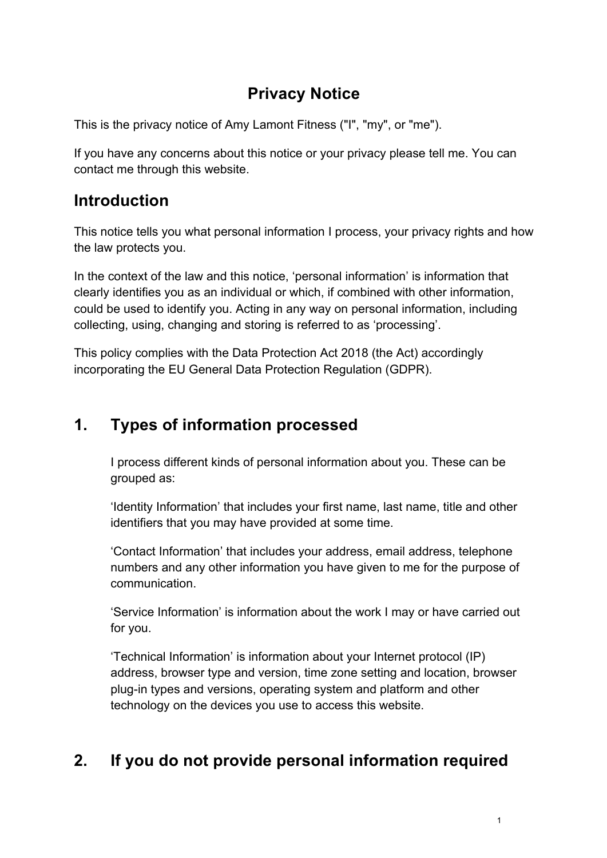# **Privacy Notice**

This is the privacy notice of Amy Lamont Fitness ("I", "my", or "me").

If you have any concerns about this notice or your privacy please tell me. You can contact me through this website.

## **Introduction**

This notice tells you what personal information I process, your privacy rights and how the law protects you.

In the context of the law and this notice, 'personal information' is information that clearly identifies you as an individual or which, if combined with other information, could be used to identify you. Acting in any way on personal information, including collecting, using, changing and storing is referred to as 'processing'.

This policy complies with the Data Protection Act 2018 (the Act) accordingly incorporating the EU General Data Protection Regulation (GDPR).

# **1. Types of information processed**

I process different kinds of personal information about you. These can be grouped as:

'Identity Information' that includes your first name, last name, title and other identifiers that you may have provided at some time.

'Contact Information' that includes your address, email address, telephone numbers and any other information you have given to me for the purpose of communication.

'Service Information' is information about the work I may or have carried out for you.

'Technical Information' is information about your Internet protocol (IP) address, browser type and version, time zone setting and location, browser plug-in types and versions, operating system and platform and other technology on the devices you use to access this website.

# **2. If you do not provide personal information required**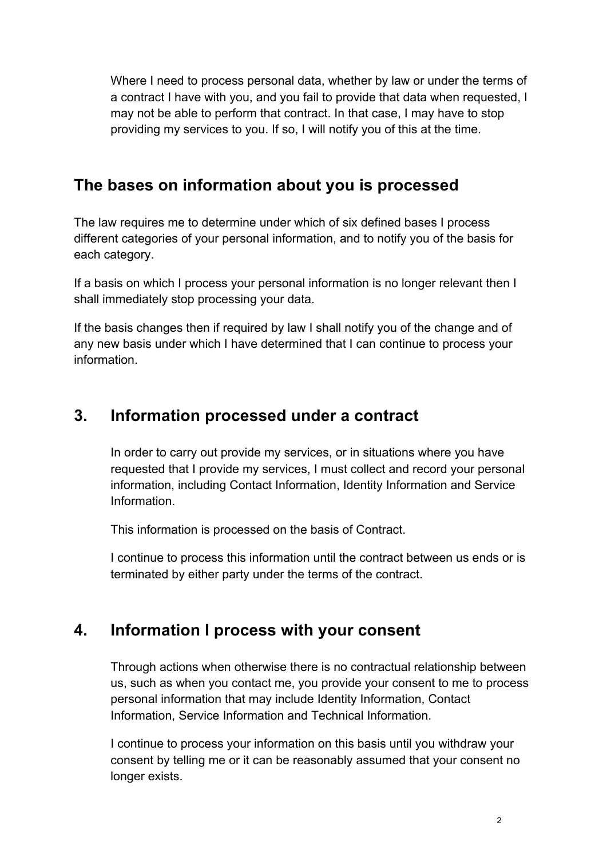Where I need to process personal data, whether by law or under the terms of a contract I have with you, and you fail to provide that data when requested, I may not be able to perform that contract. In that case, I may have to stop providing my services to you. If so, I will notify you of this at the time.

## **The bases on information about you is processed**

The law requires me to determine under which of six defined bases I process different categories of your personal information, and to notify you of the basis for each category.

If a basis on which I process your personal information is no longer relevant then I shall immediately stop processing your data.

If the basis changes then if required by law I shall notify you of the change and of any new basis under which I have determined that I can continue to process your information.

# **3. Information processed under a contract**

In order to carry out provide my services, or in situations where you have requested that I provide my services, I must collect and record your personal information, including Contact Information, Identity Information and Service Information.

This information is processed on the basis of Contract.

I continue to process this information until the contract between us ends or is terminated by either party under the terms of the contract.

# **4. Information I process with your consent**

Through actions when otherwise there is no contractual relationship between us, such as when you contact me, you provide your consent to me to process personal information that may include Identity Information, Contact Information, Service Information and Technical Information.

I continue to process your information on this basis until you withdraw your consent by telling me or it can be reasonably assumed that your consent no longer exists.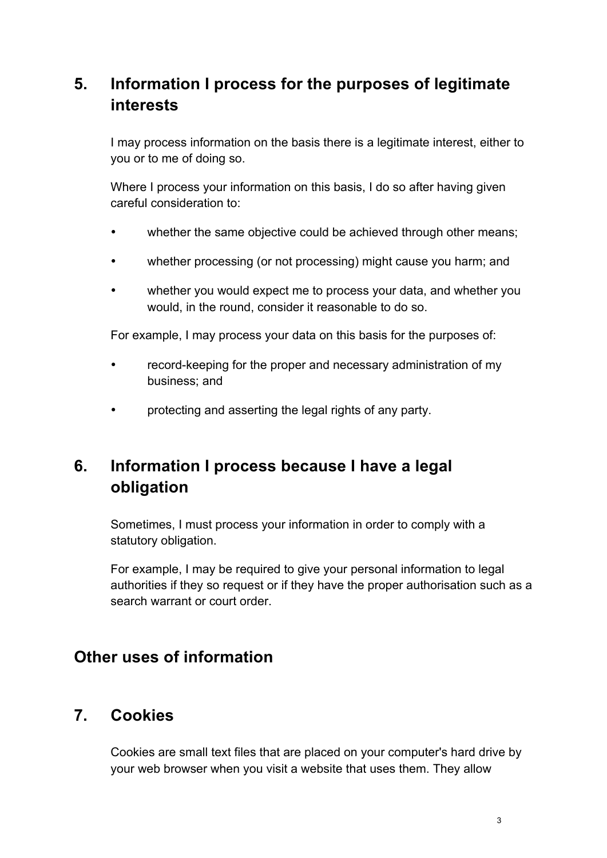# **5. Information I process for the purposes of legitimate interests**

I may process information on the basis there is a legitimate interest, either to you or to me of doing so.

Where I process your information on this basis, I do so after having given careful consideration to:

- whether the same objective could be achieved through other means;
- whether processing (or not processing) might cause you harm; and
- whether you would expect me to process your data, and whether you would, in the round, consider it reasonable to do so.

For example, I may process your data on this basis for the purposes of:

- record-keeping for the proper and necessary administration of my business; and
- protecting and asserting the legal rights of any party.

# **6. Information I process because I have a legal obligation**

Sometimes, I must process your information in order to comply with a statutory obligation.

For example, I may be required to give your personal information to legal authorities if they so request or if they have the proper authorisation such as a search warrant or court order.

#### **Other uses of information**

### **7. Cookies**

Cookies are small text files that are placed on your computer's hard drive by your web browser when you visit a website that uses them. They allow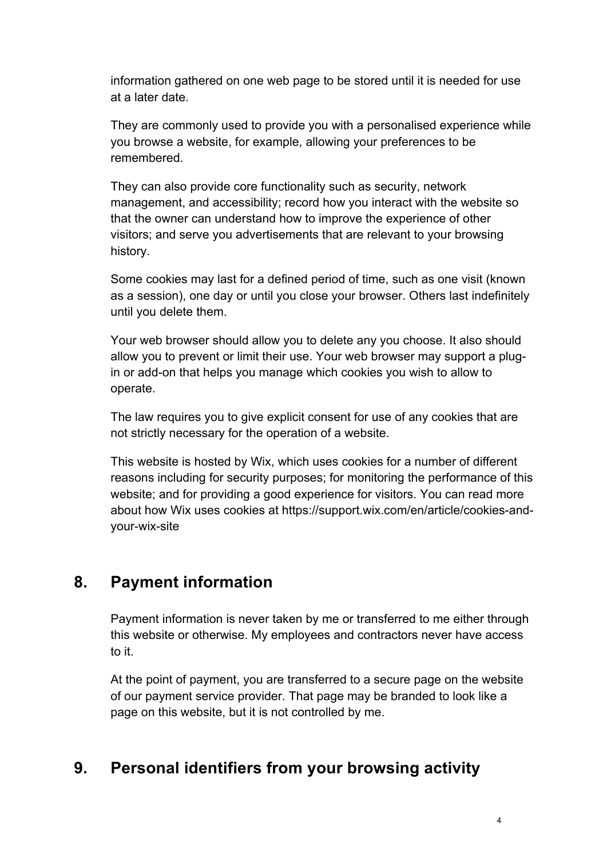information gathered on one web page to be stored until it is needed for use at a later date.

They are commonly used to provide you with a personalised experience while you browse a website, for example, allowing your preferences to be remembered.

They can also provide core functionality such as security, network management, and accessibility; record how you interact with the website so that the owner can understand how to improve the experience of other visitors; and serve you advertisements that are relevant to your browsing history.

Some cookies may last for a defined period of time, such as one visit (known as a session), one day or until you close your browser. Others last indefinitely until you delete them.

Your web browser should allow you to delete any you choose. It also should allow you to prevent or limit their use. Your web browser may support a plugin or add-on that helps you manage which cookies you wish to allow to operate.

The law requires you to give explicit consent for use of any cookies that are not strictly necessary for the operation of a website.

This website is hosted by Wix, which uses cookies for a number of different reasons including for security purposes; for monitoring the performance of this website; and for providing a good experience for visitors. You can read more about how Wix uses cookies at https://support.wix.com/en/article/cookies-andyour-wix-site

### **8. Payment information**

Payment information is never taken by me or transferred to me either through this website or otherwise. My employees and contractors never have access to it.

At the point of payment, you are transferred to a secure page on the website of our payment service provider. That page may be branded to look like a page on this website, but it is not controlled by me.

# **9. Personal identifiers from your browsing activity**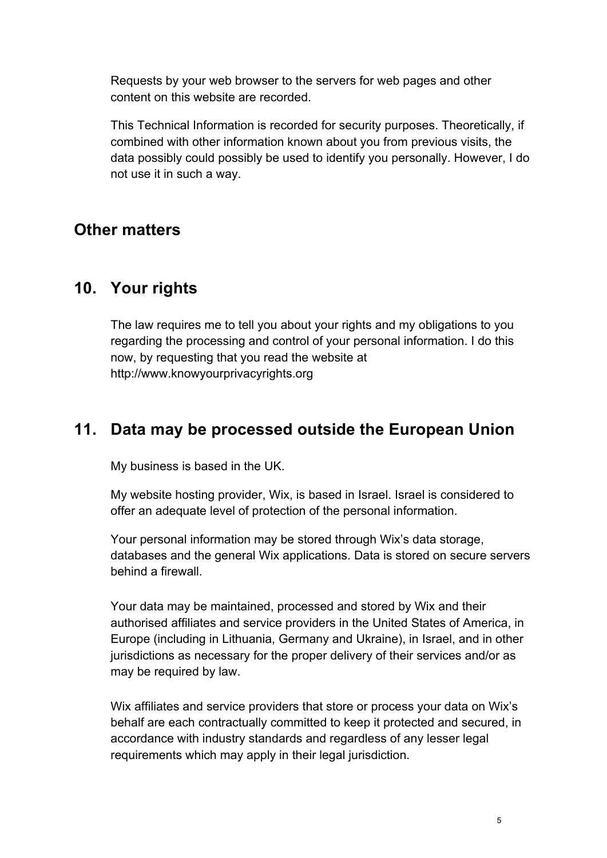Requests by your web browser to the servers for web pages and other content on this website are recorded.

This Technical Information is recorded for security purposes. Theoretically, if combined with other information known about you from previous visits, the data possibly could possibly be used to identify you personally. However, I do not use it in such a way.

#### **Other matters**

#### **10. Your rights**

The law requires me to tell you about your rights and my obligations to you regarding the processing and control of your personal information. I do this now, by requesting that you read the website at http://www.knowyourprivacyrights.org

### **11. Data may be processed outside the European Union**

My business is based in the UK.

My website hosting provider, Wix, is based in Israel. Israel is considered to offer an adequate level of protection of the personal information.

Your personal information may be stored through Wix's data storage, databases and the general Wix applications. Data is stored on secure servers behind a firewall.

Your data may be maintained, processed and stored by Wix and their authorised affiliates and service providers in the United States of America, in Europe (including in Lithuania, Germany and Ukraine), in Israel, and in other jurisdictions as necessary for the proper delivery of their services and/or as may be required by law.

Wix affiliates and service providers that store or process your data on Wix's behalf are each contractually committed to keep it protected and secured, in accordance with industry standards and regardless of any lesser legal requirements which may apply in their legal jurisdiction.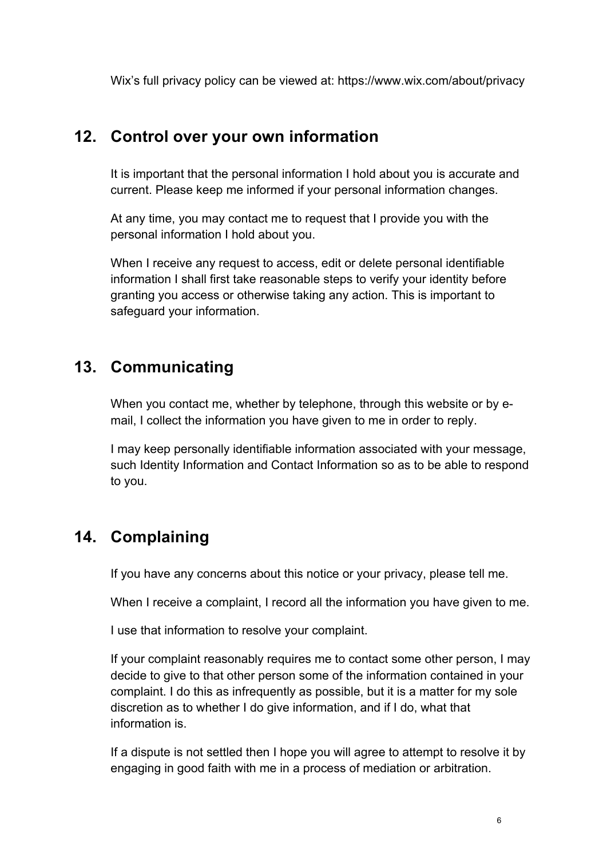Wix's full privacy policy can be viewed at: https://www.wix.com/about/privacy

#### **12. Control over your own information**

It is important that the personal information I hold about you is accurate and current. Please keep me informed if your personal information changes.

At any time, you may contact me to request that I provide you with the personal information I hold about you.

When I receive any request to access, edit or delete personal identifiable information I shall first take reasonable steps to verify your identity before granting you access or otherwise taking any action. This is important to safeguard your information.

## **13. Communicating**

When you contact me, whether by telephone, through this website or by email, I collect the information you have given to me in order to reply.

I may keep personally identifiable information associated with your message, such Identity Information and Contact Information so as to be able to respond to you.

# **14. Complaining**

If you have any concerns about this notice or your privacy, please tell me.

When I receive a complaint, I record all the information you have given to me.

I use that information to resolve your complaint.

If your complaint reasonably requires me to contact some other person, I may decide to give to that other person some of the information contained in your complaint. I do this as infrequently as possible, but it is a matter for my sole discretion as to whether I do give information, and if I do, what that information is.

If a dispute is not settled then I hope you will agree to attempt to resolve it by engaging in good faith with me in a process of mediation or arbitration.